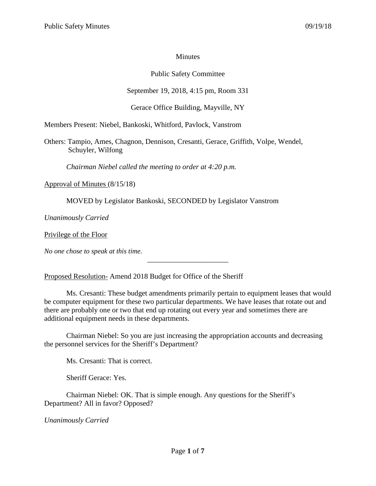## **Minutes**

## Public Safety Committee

# September 19, 2018, 4:15 pm, Room 331

## Gerace Office Building, Mayville, NY

Members Present: Niebel, Bankoski, Whitford, Pavlock, Vanstrom

Others: Tampio, Ames, Chagnon, Dennison, Cresanti, Gerace, Griffith, Volpe, Wendel, Schuyler, Wilfong

*Chairman Niebel called the meeting to order at 4:20 p.m.*

Approval of Minutes (8/15/18)

MOVED by Legislator Bankoski, SECONDED by Legislator Vanstrom

*Unanimously Carried*

Privilege of the Floor

*No one chose to speak at this time.*

Proposed Resolution- Amend 2018 Budget for Office of the Sheriff

Ms. Cresanti: These budget amendments primarily pertain to equipment leases that would be computer equipment for these two particular departments. We have leases that rotate out and there are probably one or two that end up rotating out every year and sometimes there are additional equipment needs in these departments.

\_\_\_\_\_\_\_\_\_\_\_\_\_\_\_\_\_\_\_\_\_\_

Chairman Niebel: So you are just increasing the appropriation accounts and decreasing the personnel services for the Sheriff's Department?

Ms. Cresanti: That is correct.

Sheriff Gerace: Yes.

Chairman Niebel: OK. That is simple enough. Any questions for the Sheriff's Department? All in favor? Opposed?

*Unanimously Carried*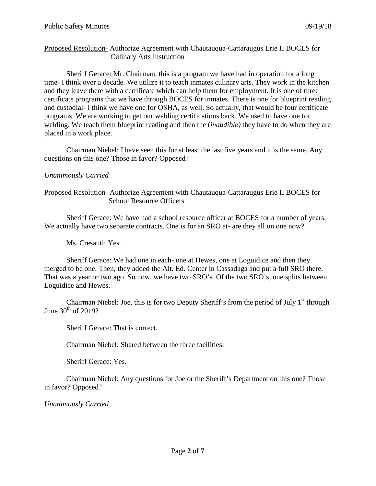## Proposed Resolution- Authorize Agreement with Chautauqua-Cattaraugus Erie II BOCES for Culinary Arts Instruction

Sheriff Gerace: Mr. Chairman, this is a program we have had in operation for a long time- I think over a decade. We utilize it to teach inmates culinary arts. They work in the kitchen and they leave there with a certificate which can help them for employment. It is one of three certificate programs that we have through BOCES for inmates. There is one for blueprint reading and custodial- I think we have one for OSHA, as well. So actually, that would be four certificate programs. We are working to get our welding certifications back. We used to have one for welding. We teach them blueprint reading and then the (*inaudible)* they have to do when they are placed in a work place.

Chairman Niebel: I have seen this for at least the last five years and it is the same. Any questions on this one? Those in favor? Opposed?

## *Unanimously Carried*

Proposed Resolution- Authorize Agreement with Chautauqua-Cattaraugus Erie II BOCES for School Resource Officers

Sheriff Gerace: We have had a school resource officer at BOCES for a number of years. We actually have two separate contracts. One is for an SRO at- are they all on one now?

Ms. Cresanti: Yes.

Sheriff Gerace: We had one in each- one at Hewes, one at Loguidice and then they merged to be one. Then, they added the Alt. Ed. Center in Cassadaga and put a full SRO there. That was a year or two ago. So now, we have two SRO's. Of the two SRO's, one splits between Loguidice and Hewes.

Chairman Niebel: Joe, this is for two Deputy Sheriff's from the period of July  $1<sup>st</sup>$  through June  $30<sup>th</sup>$  of 2019?

Sheriff Gerace: That is correct.

Chairman Niebel: Shared between the three facilities.

Sheriff Gerace: Yes.

Chairman Niebel: Any questions for Joe or the Sheriff's Department on this one? Those in favor? Opposed?

*Unanimously Carried*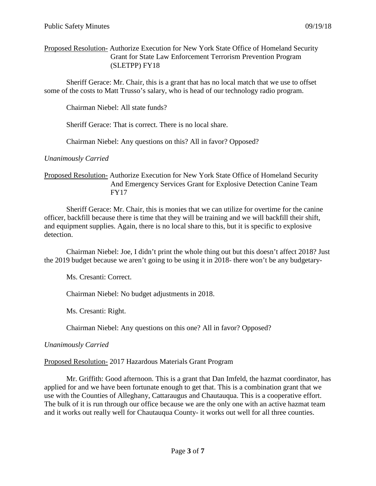### Proposed Resolution- Authorize Execution for New York State Office of Homeland Security Grant for State Law Enforcement Terrorism Prevention Program (SLETPP) FY18

Sheriff Gerace: Mr. Chair, this is a grant that has no local match that we use to offset some of the costs to Matt Trusso's salary, who is head of our technology radio program.

Chairman Niebel: All state funds?

Sheriff Gerace: That is correct. There is no local share.

Chairman Niebel: Any questions on this? All in favor? Opposed?

*Unanimously Carried*

### Proposed Resolution- Authorize Execution for New York State Office of Homeland Security And Emergency Services Grant for Explosive Detection Canine Team FY17

Sheriff Gerace: Mr. Chair, this is monies that we can utilize for overtime for the canine officer, backfill because there is time that they will be training and we will backfill their shift, and equipment supplies. Again, there is no local share to this, but it is specific to explosive detection.

Chairman Niebel: Joe, I didn't print the whole thing out but this doesn't affect 2018? Just the 2019 budget because we aren't going to be using it in 2018- there won't be any budgetary-

Ms. Cresanti: Correct.

Chairman Niebel: No budget adjustments in 2018.

Ms. Cresanti: Right.

Chairman Niebel: Any questions on this one? All in favor? Opposed?

*Unanimously Carried*

#### Proposed Resolution- 2017 Hazardous Materials Grant Program

Mr. Griffith: Good afternoon. This is a grant that Dan Imfeld, the hazmat coordinator, has applied for and we have been fortunate enough to get that. This is a combination grant that we use with the Counties of Alleghany, Cattaraugus and Chautauqua. This is a cooperative effort. The bulk of it is run through our office because we are the only one with an active hazmat team and it works out really well for Chautauqua County- it works out well for all three counties.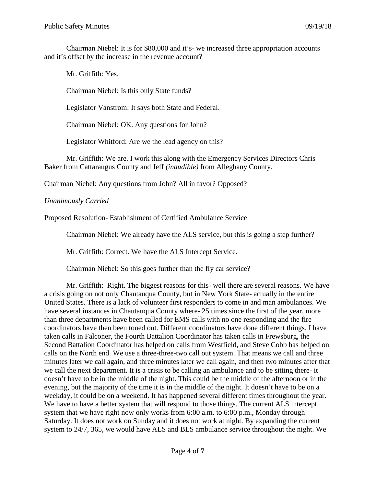Chairman Niebel: It is for \$80,000 and it's- we increased three appropriation accounts and it's offset by the increase in the revenue account?

Mr. Griffith: Yes. Chairman Niebel: Is this only State funds? Legislator Vanstrom: It says both State and Federal. Chairman Niebel: OK. Any questions for John? Legislator Whitford: Are we the lead agency on this?

Mr. Griffith: We are. I work this along with the Emergency Services Directors Chris Baker from Cattaraugus County and Jeff *(inaudible)* from Alleghany County.

Chairman Niebel: Any questions from John? All in favor? Opposed?

## *Unanimously Carried*

Proposed Resolution- Establishment of Certified Ambulance Service

Chairman Niebel: We already have the ALS service, but this is going a step further?

Mr. Griffith: Correct. We have the ALS Intercept Service.

Chairman Niebel: So this goes further than the fly car service?

Mr. Griffith: Right. The biggest reasons for this- well there are several reasons. We have a crisis going on not only Chautauqua County, but in New York State- actually in the entire United States. There is a lack of volunteer first responders to come in and man ambulances. We have several instances in Chautauqua County where- 25 times since the first of the year, more than three departments have been called for EMS calls with no one responding and the fire coordinators have then been toned out. Different coordinators have done different things. I have taken calls in Falconer, the Fourth Battalion Coordinator has taken calls in Frewsburg, the Second Battalion Coordinator has helped on calls from Westfield, and Steve Cobb has helped on calls on the North end. We use a three-three-two call out system. That means we call and three minutes later we call again, and three minutes later we call again, and then two minutes after that we call the next department. It is a crisis to be calling an ambulance and to be sitting there- it doesn't have to be in the middle of the night. This could be the middle of the afternoon or in the evening, but the majority of the time it is in the middle of the night. It doesn't have to be on a weekday, it could be on a weekend. It has happened several different times throughout the year. We have to have a better system that will respond to those things. The current ALS intercept system that we have right now only works from 6:00 a.m. to 6:00 p.m., Monday through Saturday. It does not work on Sunday and it does not work at night. By expanding the current system to 24/7, 365, we would have ALS and BLS ambulance service throughout the night. We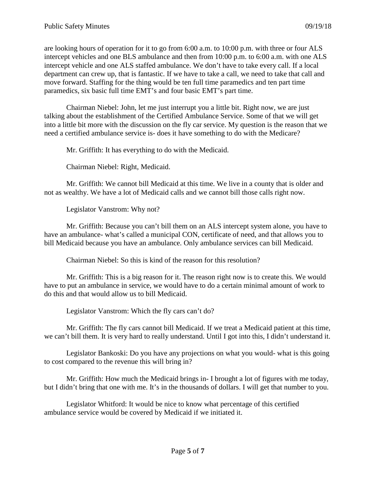are looking hours of operation for it to go from 6:00 a.m. to 10:00 p.m. with three or four ALS intercept vehicles and one BLS ambulance and then from 10:00 p.m. to 6:00 a.m. with one ALS intercept vehicle and one ALS staffed ambulance. We don't have to take every call. If a local department can crew up, that is fantastic. If we have to take a call, we need to take that call and move forward. Staffing for the thing would be ten full time paramedics and ten part time paramedics, six basic full time EMT's and four basic EMT's part time.

Chairman Niebel: John, let me just interrupt you a little bit. Right now, we are just talking about the establishment of the Certified Ambulance Service. Some of that we will get into a little bit more with the discussion on the fly car service. My question is the reason that we need a certified ambulance service is- does it have something to do with the Medicare?

Mr. Griffith: It has everything to do with the Medicaid.

Chairman Niebel: Right, Medicaid.

Mr. Griffith: We cannot bill Medicaid at this time. We live in a county that is older and not as wealthy. We have a lot of Medicaid calls and we cannot bill those calls right now.

Legislator Vanstrom: Why not?

Mr. Griffith: Because you can't bill them on an ALS intercept system alone, you have to have an ambulance- what's called a municipal CON, certificate of need, and that allows you to bill Medicaid because you have an ambulance. Only ambulance services can bill Medicaid.

Chairman Niebel: So this is kind of the reason for this resolution?

Mr. Griffith: This is a big reason for it. The reason right now is to create this. We would have to put an ambulance in service, we would have to do a certain minimal amount of work to do this and that would allow us to bill Medicaid.

Legislator Vanstrom: Which the fly cars can't do?

Mr. Griffith: The fly cars cannot bill Medicaid. If we treat a Medicaid patient at this time, we can't bill them. It is very hard to really understand. Until I got into this, I didn't understand it.

Legislator Bankoski: Do you have any projections on what you would- what is this going to cost compared to the revenue this will bring in?

Mr. Griffith: How much the Medicaid brings in- I brought a lot of figures with me today, but I didn't bring that one with me. It's in the thousands of dollars. I will get that number to you.

Legislator Whitford: It would be nice to know what percentage of this certified ambulance service would be covered by Medicaid if we initiated it.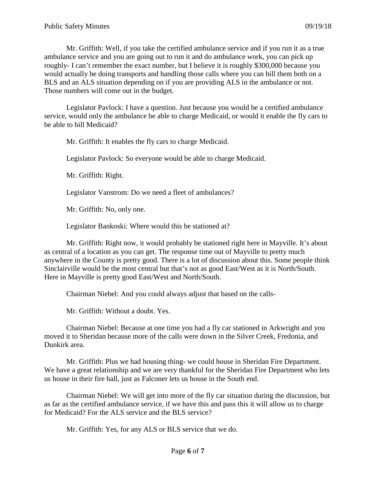Mr. Griffith: Well, if you take the certified ambulance service and if you run it as a true ambulance service and you are going out to run it and do ambulance work, you can pick up roughly- I can't remember the exact number, but I believe it is roughly \$300,000 because you would actually be doing transports and handling those calls where you can bill them both on a BLS and an ALS situation depending on if you are providing ALS in the ambulance or not. Those numbers will come out in the budget.

Legislator Pavlock: I have a question. Just because you would be a certified ambulance service, would only the ambulance be able to charge Medicaid, or would it enable the fly cars to be able to bill Medicaid?

Mr. Griffith: It enables the fly cars to charge Medicaid.

Legislator Pavlock: So everyone would be able to charge Medicaid.

Mr. Griffith: Right.

Legislator Vanstrom: Do we need a fleet of ambulances?

Mr. Griffith: No, only one.

Legislator Bankoski: Where would this be stationed at?

Mr. Griffith: Right now, it would probably be stationed right here in Mayville. It's about as central of a location as you can get. The response time out of Mayville to pretty much anywhere in the County is pretty good. There is a lot of discussion about this. Some people think Sinclairville would be the most central but that's not as good East/West as it is North/South. Here in Mayville is pretty good East/West and North/South.

Chairman Niebel: And you could always adjust that based on the calls-

Mr. Griffith: Without a doubt. Yes.

Chairman Niebel: Because at one time you had a fly car stationed in Arkwright and you moved it to Sheridan because more of the calls were down in the Silver Creek, Fredonia, and Dunkirk area.

Mr. Griffith: Plus we had housing thing- we could house in Sheridan Fire Department. We have a great relationship and we are very thankful for the Sheridan Fire Department who lets us house in their fire hall, just as Falconer lets us house in the South end.

Chairman Niebel: We will get into more of the fly car situation during the discussion, but as far as the certified ambulance service, if we have this and pass this it will allow us to charge for Medicaid? For the ALS service and the BLS service?

Mr. Griffith: Yes, for any ALS or BLS service that we do.